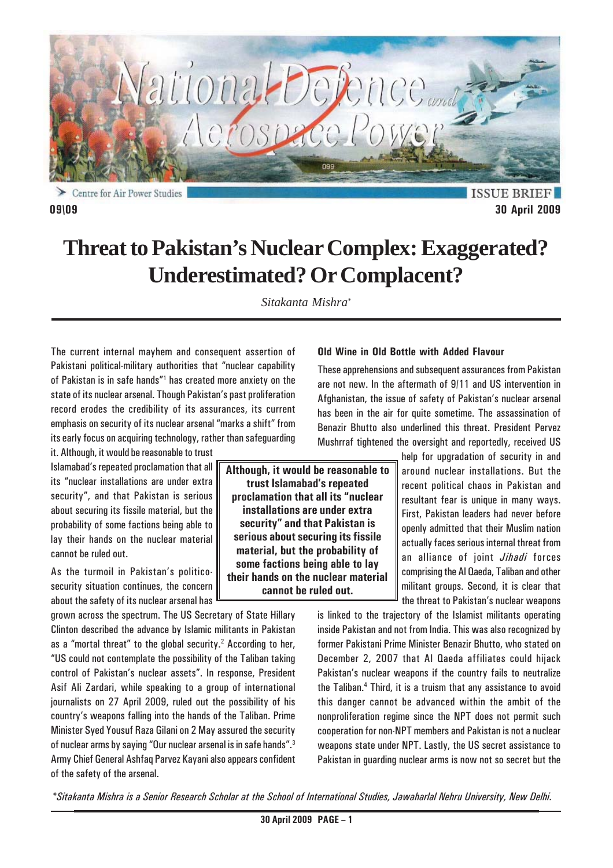

Centre for Air Power Studies

### **ISSUE BRIEF 09\09 30 April 2009**

# **Threat to Pakistan's Nuclear Complex: Exaggerated? Underestimated? Or Complacent?**

*Sitakanta Mishra\**

The current internal mayhem and consequent assertion of Pakistani political-military authorities that "nuclear capability of Pakistan is in safe hands"<sup>1</sup> has created more anxiety on the state of its nuclear arsenal. Though Pakistan's past proliferation record erodes the credibility of its assurances, its current emphasis on security of its nuclear arsenal "marks a shift" from its early focus on acquiring technology, rather than safeguarding

it. Although, it would be reasonable to trust Islamabad's repeated proclamation that all its "nuclear installations are under extra security", and that Pakistan is serious about securing its fissile material, but the probability of some factions being able to lay their hands on the nuclear material cannot be ruled out.

As the turmoil in Pakistan's politicosecurity situation continues, the concern about the safety of its nuclear arsenal has

grown across the spectrum. The US Secretary of State Hillary Clinton described the advance by Islamic militants in Pakistan as a "mortal threat" to the global security. $2$  According to her, "US could not contemplate the possibility of the Taliban taking control of Pakistan's nuclear assets". In response, President Asif Ali Zardari, while speaking to a group of international journalists on 27 April 2009, ruled out the possibility of his country's weapons falling into the hands of the Taliban. Prime Minister Syed Yousuf Raza Gilani on 2 May assured the security of nuclear arms by saying "Our nuclear arsenal is in safe hands".3 Army Chief General Ashfaq Parvez Kayani also appears confident of the safety of the arsenal.

**Although, it would be reasonable to trust Islamabad's repeated proclamation that all its "nuclear installations are under extra security" and that Pakistan is serious about securing its fissile material, but the probability of some factions being able to lay their hands on the nuclear material cannot be ruled out.**

#### **Old Wine in Old Bottle with Added Flavour**

These apprehensions and subsequent assurances from Pakistan are not new. In the aftermath of 9/11 and US intervention in Afghanistan, the issue of safety of Pakistan's nuclear arsenal has been in the air for quite sometime. The assassination of Benazir Bhutto also underlined this threat. President Pervez Mushrraf tightened the oversight and reportedly, received US

> help for upgradation of security in and around nuclear installations. But the recent political chaos in Pakistan and resultant fear is unique in many ways. First, Pakistan leaders had never before openly admitted that their Muslim nation actually faces serious internal threat from an alliance of joint *Jihadi* forces comprising the Al Qaeda, Taliban and other militant groups. Second, it is clear that the threat to Pakistan's nuclear weapons

is linked to the trajectory of the Islamist militants operating inside Pakistan and not from India. This was also recognized by former Pakistani Prime Minister Benazir Bhutto, who stated on December 2, 2007 that Al Qaeda affiliates could hijack Pakistan's nuclear weapons if the country fails to neutralize the Taliban.4 Third, it is a truism that any assistance to avoid this danger cannot be advanced within the ambit of the nonproliferation regime since the NPT does not permit such cooperation for non-NPT members and Pakistan is not a nuclear weapons state under NPT. Lastly, the US secret assistance to Pakistan in guarding nuclear arms is now not so secret but the

*\*Sitakanta Mishra is a Senior Research Scholar at the School of International Studies, Jawaharlal Nehru University, New Delhi.*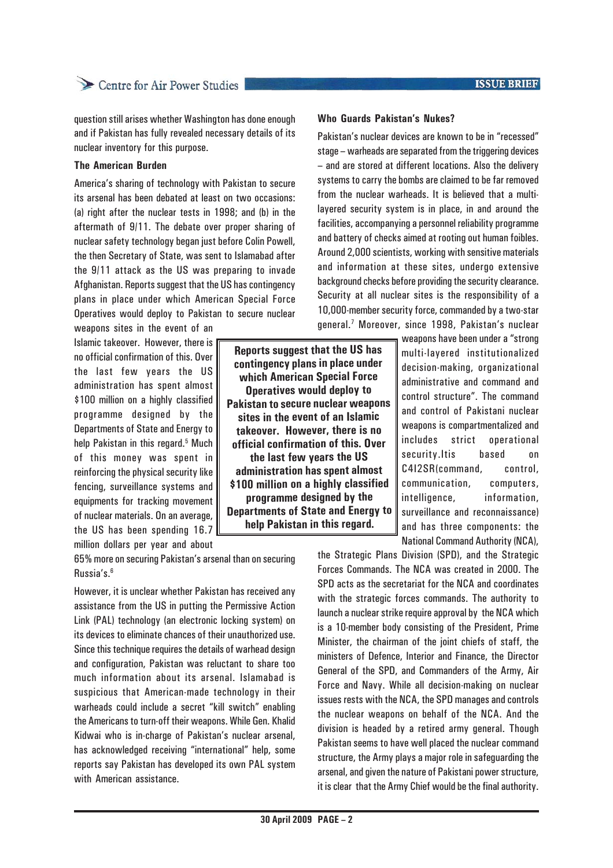question still arises whether Washington has done enough and if Pakistan has fully revealed necessary details of its nuclear inventory for this purpose.

#### **The American Burden**

America's sharing of technology with Pakistan to secure its arsenal has been debated at least on two occasions: (a) right after the nuclear tests in 1998; and (b) in the aftermath of 9/11. The debate over proper sharing of nuclear safety technology began just before Colin Powell, the then Secretary of State, was sent to Islamabad after the 9/11 attack as the US was preparing to invade Afghanistan. Reports suggest that the US has contingency plans in place under which American Special Force Operatives would deploy to Pakistan to secure nuclear

weapons sites in the event of an Islamic takeover. However, there is no official confirmation of this. Over the last few years the US administration has spent almost \$100 million on a highly classified programme designed by the Departments of State and Energy to help Pakistan in this regard.<sup>5</sup> Much of this money was spent in reinforcing the physical security like fencing, surveillance systems and equipments for tracking movement of nuclear materials. On an average, the US has been spending 16.7 million dollars per year and about

65% more on securing Pakistan's arsenal than on securing Russia's.6

However, it is unclear whether Pakistan has received any assistance from the US in putting the Permissive Action Link (PAL) technology (an electronic locking system) on its devices to eliminate chances of their unauthorized use. Since this technique requires the details of warhead design and configuration, Pakistan was reluctant to share too much information about its arsenal. Islamabad is suspicious that American-made technology in their warheads could include a secret "kill switch" enabling the Americans to turn-off their weapons. While Gen. Khalid Kidwai who is in-charge of Pakistan's nuclear arsenal, has acknowledged receiving "international" help, some reports say Pakistan has developed its own PAL system with American assistance.

**Reports suggest that the US has contingency plans in place under which American Special Force Operatives would deploy to Pakistan to secure nuclear weapons sites in the event of an Islamic takeover. However, there is no official confirmation of this. Over the last few years the US administration has spent almost \$100 million on a highly classified programme designed by the Departments of State and Energy to help Pakistan in this regard.**

# **Who Guards Pakistan's Nukes?**

Pakistan's nuclear devices are known to be in "recessed" stage – warheads are separated from the triggering devices – and are stored at different locations. Also the delivery systems to carry the bombs are claimed to be far removed from the nuclear warheads. It is believed that a multilayered security system is in place, in and around the facilities, accompanying a personnel reliability programme and battery of checks aimed at rooting out human foibles. Around 2,000 scientists, working with sensitive materials and information at these sites, undergo extensive background checks before providing the security clearance. Security at all nuclear sites is the responsibility of a 10,000-member security force, commanded by a two-star general.7 Moreover, since 1998, Pakistan's nuclear

> weapons have been under a "strong multi-layered institutionalized decision-making, organizational administrative and command and control structure". The command and control of Pakistani nuclear weapons is compartmentalized and includes strict operational security.Itis based on C4I2SR(command, control, communication, computers, intelligence, information, surveillance and reconnaissance) and has three components: the National Command Authority (NCA),

the Strategic Plans Division (SPD), and the Strategic Forces Commands. The NCA was created in 2000. The SPD acts as the secretariat for the NCA and coordinates with the strategic forces commands. The authority to launch a nuclear strike require approval by the NCA which is a 10-member body consisting of the President, Prime Minister, the chairman of the joint chiefs of staff, the ministers of Defence, Interior and Finance, the Director General of the SPD, and Commanders of the Army, Air Force and Navy. While all decision-making on nuclear issues rests with the NCA, the SPD manages and controls the nuclear weapons on behalf of the NCA. And the division is headed by a retired army general. Though Pakistan seems to have well placed the nuclear command structure, the Army plays a major role in safeguarding the arsenal, and given the nature of Pakistani power structure, it is clear that the Army Chief would be the final authority.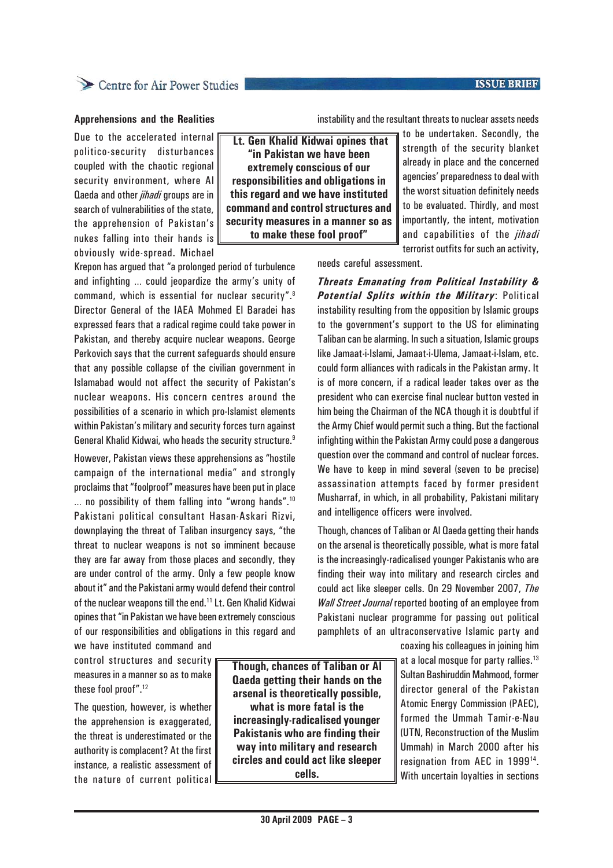#### **ISSUE BRIEF**

# Centre for Air Power Studies

#### **Apprehensions and the Realities**

Due to the accelerated internal politico-security disturbances coupled with the chaotic regional security environment, where Al Qaeda and other *jihadi* groups are in search of vulnerabilities of the state, the apprehension of Pakistan's nukes falling into their hands is obviously wide-spread. Michael

 **Lt. Gen Khalid Kidwai opines that "in Pakistan we have been extremely conscious of our responsibilities and obligations in this regard and we have instituted command and control structures and security measures in a manner so as** to be undertaken. Secondly, the strength of the security blanket already in place and the concerned agencies' preparedness to deal with the worst situation definitely needs to be evaluated. Thirdly, and most importantly, the intent, motivation and capabilities of the *jihadi* terrorist outfits for such an activity,

needs careful assessment.

*Threats Emanating from Political Instability & Potential Splits within the Military*: Political instability resulting from the opposition by Islamic groups to the government's support to the US for eliminating Taliban can be alarming. In such a situation, Islamic groups like Jamaat-i-Islami, Jamaat-i-Ulema, Jamaat-i-Islam, etc. could form alliances with radicals in the Pakistan army. It is of more concern, if a radical leader takes over as the president who can exercise final nuclear button vested in him being the Chairman of the NCA though it is doubtful if the Army Chief would permit such a thing. But the factional infighting within the Pakistan Army could pose a dangerous question over the command and control of nuclear forces. We have to keep in mind several (seven to be precise) assassination attempts faced by former president Musharraf, in which, in all probability, Pakistani military and intelligence officers were involved.

instability and the resultant threats to nuclear assets needs

Though, chances of Taliban or Al Qaeda getting their hands on the arsenal is theoretically possible, what is more fatal is the increasingly-radicalised younger Pakistanis who are finding their way into military and research circles and could act like sleeper cells. On 29 November 2007, *The Wall Street Journal* reported booting of an employee from Pakistani nuclear programme for passing out political pamphlets of an ultraconservative Islamic party and

> coaxing his colleagues in joining him at a local mosque for party rallies.<sup>13</sup> Sultan Bashiruddin Mahmood, former director general of the Pakistan Atomic Energy Commission (PAEC), formed the Ummah Tamir-e-Nau (UTN, Reconstruction of the Muslim Ummah) in March 2000 after his resignation from AEC in 199914. With uncertain loyalties in sections

**to make these fool proof"**

Krepon has argued that "a prolonged period of turbulence and infighting … could jeopardize the army's unity of command, which is essential for nuclear security".8 Director General of the IAEA Mohmed El Baradei has expressed fears that a radical regime could take power in Pakistan, and thereby acquire nuclear weapons. George Perkovich says that the current safeguards should ensure that any possible collapse of the civilian government in Islamabad would not affect the security of Pakistan's nuclear weapons. His concern centres around the possibilities of a scenario in which pro-Islamist elements within Pakistan's military and security forces turn against General Khalid Kidwai, who heads the security structure.<sup>9</sup>

However, Pakistan views these apprehensions as "hostile campaign of the international media" and strongly proclaims that "foolproof" measures have been put in place … no possibility of them falling into "wrong hands".10 Pakistani political consultant Hasan-Askari Rizvi, downplaying the threat of Taliban insurgency says, "the threat to nuclear weapons is not so imminent because they are far away from those places and secondly, they are under control of the army. Only a few people know about it" and the Pakistani army would defend their control of the nuclear weapons till the end.11 Lt. Gen Khalid Kidwai opines that "in Pakistan we have been extremely conscious of our responsibilities and obligations in this regard and we have instituted command and

control structures and security measures in a manner so as to make these fool proof".12

The question, however, is whether the apprehension is exaggerated, the threat is underestimated or the authority is complacent? At the first instance, a realistic assessment of the nature of current political **Though, chances of Taliban or Al Qaeda getting their hands on the arsenal is theoretically possible, what is more fatal is the increasingly-radicalised younger Pakistanis who are finding their way into military and research circles and could act like sleeper cells.**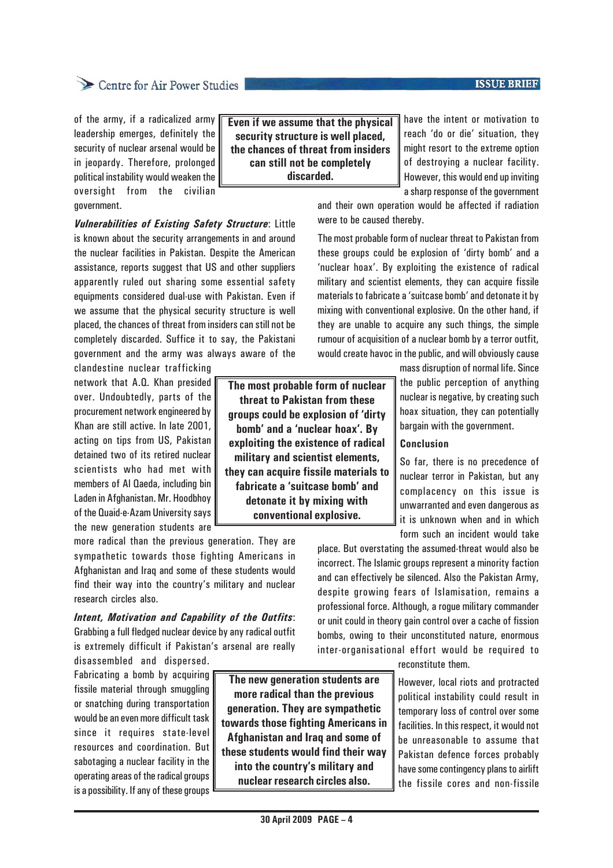# Centre for Air Power Studies

of the army, if a radicalized army leadership emerges, definitely the security of nuclear arsenal would be in jeopardy. Therefore, prolonged political instability would weaken the oversight from the civilian government.

*Vulnerabilities of Existing Safety Structure*: Little is known about the security arrangements in and around the nuclear facilities in Pakistan. Despite the American assistance, reports suggest that US and other suppliers apparently ruled out sharing some essential safety equipments considered dual-use with Pakistan. Even if we assume that the physical security structure is well placed, the chances of threat from insiders can still not be completely discarded. Suffice it to say, the Pakistani government and the army was always aware of the

clandestine nuclear trafficking network that A.Q. Khan presided over. Undoubtedly, parts of the procurement network engineered by Khan are still active. In late 2001, acting on tips from US, Pakistan detained two of its retired nuclear scientists who had met with members of Al Qaeda, including bin Laden in Afghanistan. Mr. Hoodbhoy of the Quaid-e-Azam University says the new generation students are

more radical than the previous generation. They are sympathetic towards those fighting Americans in Afghanistan and Iraq and some of these students would find their way into the country's military and nuclear research circles also.

*Intent, Motivation and Capability of the Outfits*: Grabbing a full fledged nuclear device by any radical outfit is extremely difficult if Pakistan's arsenal are really disassembled and dispersed.

Fabricating a bomb by acquiring fissile material through smuggling or snatching during transportation would be an even more difficult task since it requires state-level resources and coordination. But sabotaging a nuclear facility in the operating areas of the radical groups is a possibility. If any of these groups

**The new generation students are more radical than the previous generation. They are sympathetic towards those fighting Americans in Afghanistan and Iraq and some of these students would find their way into the country's military and nuclear research circles also.**

**Even if we assume that the physical security structure is well placed, the chances of threat from insiders can still not be completely discarded.**

have the intent or motivation to reach 'do or die' situation, they might resort to the extreme option of destroying a nuclear facility. However, this would end up inviting a sharp response of the government

and their own operation would be affected if radiation were to be caused thereby.

The most probable form of nuclear threat to Pakistan from these groups could be explosion of 'dirty bomb' and a 'nuclear hoax'. By exploiting the existence of radical military and scientist elements, they can acquire fissile materials to fabricate a 'suitcase bomb' and detonate it by mixing with conventional explosive. On the other hand, if they are unable to acquire any such things, the simple rumour of acquisition of a nuclear bomb by a terror outfit, would create havoc in the public, and will obviously cause

> mass disruption of normal life. Since the public perception of anything nuclear is negative, by creating such hoax situation, they can potentially bargain with the government.

> So far, there is no precedence of nuclear terror in Pakistan, but any complacency on this issue is unwarranted and even dangerous as it is unknown when and in which form such an incident would take

place. But overstating the assumed-threat would also be incorrect. The Islamic groups represent a minority faction and can effectively be silenced. Also the Pakistan Army, despite growing fears of Islamisation, remains a professional force. Although, a rogue military commander or unit could in theory gain control over a cache of fission bombs, owing to their unconstituted nature, enormous inter-organisational effort would be required to

reconstitute them.

However, local riots and protracted political instability could result in temporary loss of control over some facilities. In this respect, it would not be unreasonable to assume that Pakistan defence forces probably have some contingency plans to airlift the fissile cores and non-fissile

# **The most probable form of nuclear threat to Pakistan from these groups could be explosion of 'dirty bomb' and a 'nuclear hoax'. By exploiting the existence of radical military and scientist elements,**

**they can acquire fissile materials to fabricate a 'suitcase bomb' and detonate it by mixing with conventional explosive.**

**Conclusion**

#### **ISSUE BRIEF**